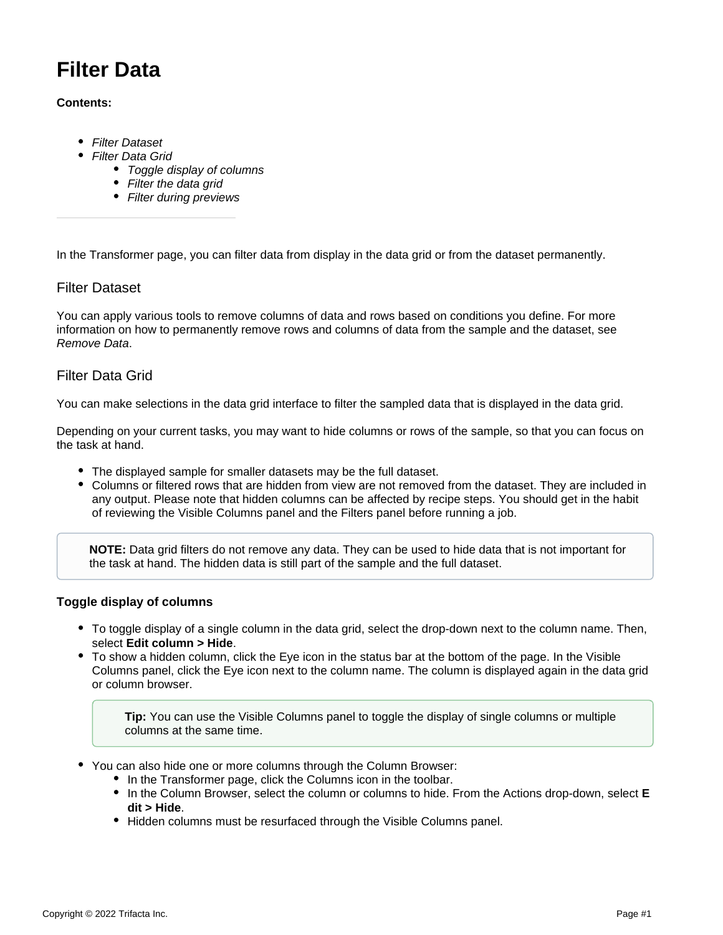# **Filter Data**

### **Contents:**

- [Filter Dataset](#page-0-0)
- [Filter Data Grid](#page-0-1)
	- [Toggle display of columns](#page-0-2)
	- [Filter the data grid](#page-1-0)
	- [Filter during previews](#page-1-1)

In the Transformer page, you can filter data from display in the data grid or from the dataset permanently.

## <span id="page-0-0"></span>Filter Dataset

You can apply various tools to remove columns of data and rows based on conditions you define. For more information on how to permanently remove rows and columns of data from the sample and the dataset, see [Remove Data](https://docs.trifacta.com/display/SS/Remove+Data).

## <span id="page-0-1"></span>Filter Data Grid

You can make selections in the data grid interface to filter the sampled data that is displayed in the data grid.

Depending on your current tasks, you may want to hide columns or rows of the sample, so that you can focus on the task at hand.

- The displayed sample for smaller datasets may be the full dataset.
- Columns or filtered rows that are hidden from view are not removed from the dataset. They are included in any output. Please note that hidden columns can be affected by recipe steps. You should get in the habit of reviewing the Visible Columns panel and the Filters panel before running a job.

**NOTE:** Data grid filters do not remove any data. They can be used to hide data that is not important for the task at hand. The hidden data is still part of the sample and the full dataset.

### <span id="page-0-2"></span>**Toggle display of columns**

- To toggle display of a single column in the data grid, select the drop-down next to the column name. Then, select **Edit column > Hide**.
- To show a hidden column, click the Eye icon in the status bar at the bottom of the page. In the Visible Columns panel, click the Eye icon next to the column name. The column is displayed again in the data grid or column browser.

**Tip:** You can use the Visible Columns panel to toggle the display of single columns or multiple columns at the same time.

- You can also hide one or more columns through the Column Browser:
	- In the Transformer page, click the Columns icon in the toolbar.
	- In the Column Browser, select the column or columns to hide. From the Actions drop-down, select **E dit > Hide**.
	- Hidden columns must be resurfaced through the Visible Columns panel.